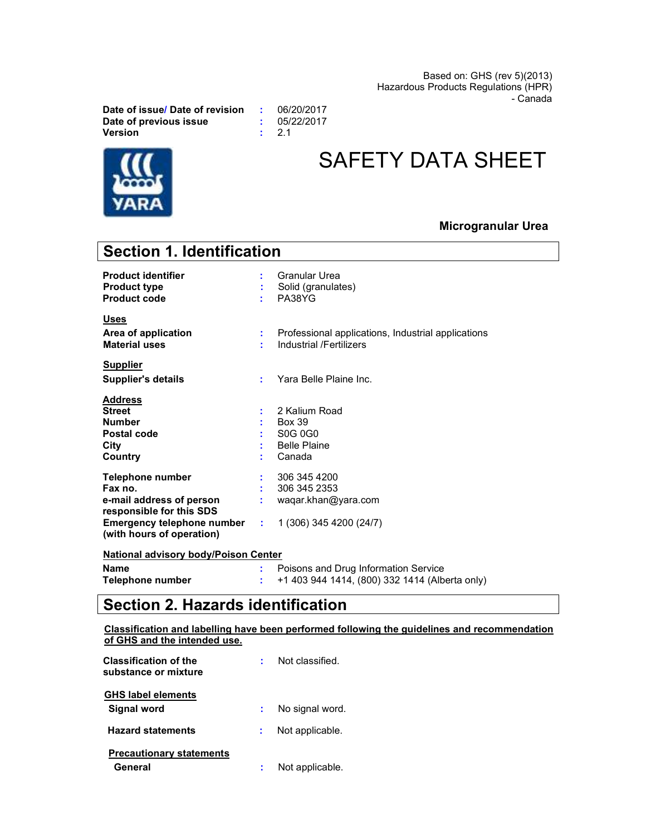Based on: GHS (rev 5)(2013) Hazardous Products Regulations (HPR) - Canada

Date of issue/ Date of revision : 06/20/2017 Date of previous issue : 05/22/2017<br>Version : 2.1

 $\therefore$  2.1



# SAFETY DATA SHEET

# Microgranular Urea

| <b>Section 1. Identification</b>                                                                                                                      |    |                                                                                                                 |
|-------------------------------------------------------------------------------------------------------------------------------------------------------|----|-----------------------------------------------------------------------------------------------------------------|
| <b>Product identifier</b><br><b>Product type</b><br><b>Product code</b>                                                                               |    | Granular Urea<br>Solid (granulates)<br>PA38YG                                                                   |
| <u>Uses</u><br>Area of application<br><b>Material uses</b>                                                                                            |    | Professional applications, Industrial applications<br>Industrial /Fertilizers                                   |
| <b>Supplier</b><br><b>Supplier's details</b>                                                                                                          |    | Yara Belle Plaine Inc.                                                                                          |
| <b>Address</b><br><b>Street</b><br><b>Number</b><br>Postal code<br>City<br>Country                                                                    |    | 2 Kalium Road<br><b>Box 39</b><br>S <sub>0</sub> G 0 <sub>G</sub> <sub>0</sub><br><b>Belle Plaine</b><br>Canada |
| Telephone number<br>Fax no.<br>e-mail address of person<br>responsible for this SDS<br><b>Emergency telephone number</b><br>(with hours of operation) | ÷. | 306 345 4200<br>306 345 2353<br>waqar.khan@yara.com<br>1 (306) 345 4200 (24/7)                                  |
| National advisory body/Poison Center                                                                                                                  |    |                                                                                                                 |

| <b>Name</b>      | Poisons and Drug Information Service           |
|------------------|------------------------------------------------|
| Telephone number | +1 403 944 1414, (800) 332 1414 (Alberta only) |

# Section 2. Hazards identification

Classification and labelling have been performed following the guidelines and recommendation of GHS and the intended use.

| <b>Classification of the</b><br>substance or mixture | Not classified  |
|------------------------------------------------------|-----------------|
| <b>GHS label elements</b><br>Signal word             | No signal word. |
| <b>Hazard statements</b>                             | Not applicable. |
| <b>Precautionary statements</b><br>General           | Not applicable. |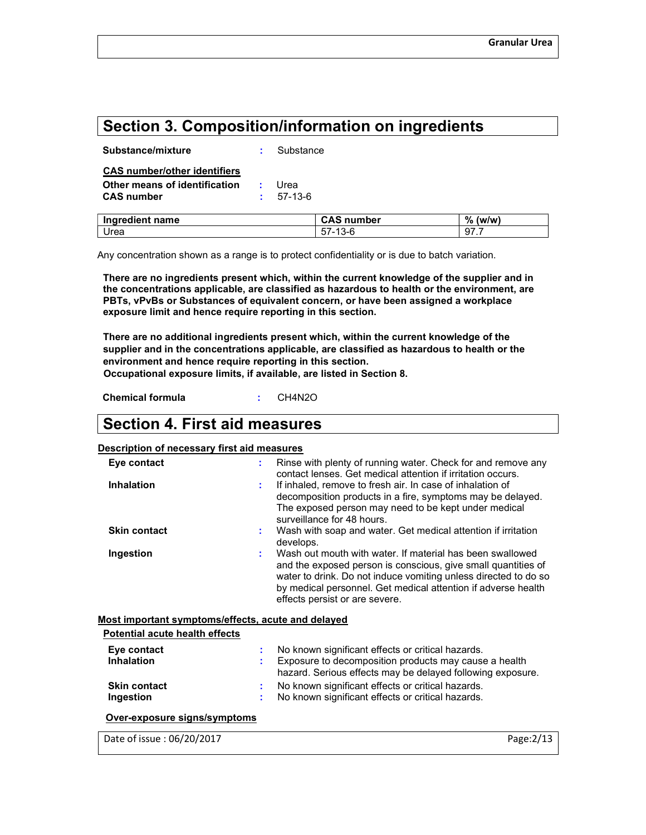# Section 3. Composition/information on ingredients

| Ingredient name                     | <b>CAS number</b> | ℅<br>(w/w) |
|-------------------------------------|-------------------|------------|
| <b>CAS number</b>                   | 57-13-6           |            |
| Other means of identification       | Urea              |            |
| <b>CAS number/other identifiers</b> |                   |            |
| Substance/mixture                   | Substance         |            |

Any concentration shown as a range is to protect confidentiality or is due to batch variation.

Urea 57-13-6 97.7

There are no ingredients present which, within the current knowledge of the supplier and in the concentrations applicable, are classified as hazardous to health or the environment, are PBTs, vPvBs or Substances of equivalent concern, or have been assigned a workplace exposure limit and hence require reporting in this section.

There are no additional ingredients present which, within the current knowledge of the supplier and in the concentrations applicable, are classified as hazardous to health or the environment and hence require reporting in this section.

Occupational exposure limits, if available, are listed in Section 8.

Chemical formula : CH4N2O

# Section 4. First aid measures

#### Description of necessary first aid measures

| Eye contact                                        | ÷. | Rinse with plenty of running water. Check for and remove any<br>contact lenses. Get medical attention if irritation occurs.                                                                                                                                                                      |
|----------------------------------------------------|----|--------------------------------------------------------------------------------------------------------------------------------------------------------------------------------------------------------------------------------------------------------------------------------------------------|
| <b>Inhalation</b>                                  | ÷  | If inhaled, remove to fresh air. In case of inhalation of<br>decomposition products in a fire, symptoms may be delayed.<br>The exposed person may need to be kept under medical<br>surveillance for 48 hours.                                                                                    |
| <b>Skin contact</b>                                |    | Wash with soap and water. Get medical attention if irritation<br>develops.                                                                                                                                                                                                                       |
| Ingestion                                          | ÷  | Wash out mouth with water. If material has been swallowed<br>and the exposed person is conscious, give small quantities of<br>water to drink. Do not induce vomiting unless directed to do so<br>by medical personnel. Get medical attention if adverse health<br>effects persist or are severe. |
| Most important symptoms/effects, acute and delayed |    |                                                                                                                                                                                                                                                                                                  |
| Potential acute health effects                     |    |                                                                                                                                                                                                                                                                                                  |
| Eye contact<br><b>Inhalation</b>                   | ÷  | No known significant effects or critical hazards.<br>Exposure to decomposition products may cause a health<br>hazard. Serious effects may be delayed following exposure.                                                                                                                         |
| <b>Skin contact</b>                                | ÷  | No known significant effects or critical hazards.                                                                                                                                                                                                                                                |
| Ingestion                                          |    | No known significant effects or critical hazards.                                                                                                                                                                                                                                                |
| Over-exposure signs/symptoms                       |    |                                                                                                                                                                                                                                                                                                  |
| Date of issue: 06/20/2017                          |    | Page: 2/13                                                                                                                                                                                                                                                                                       |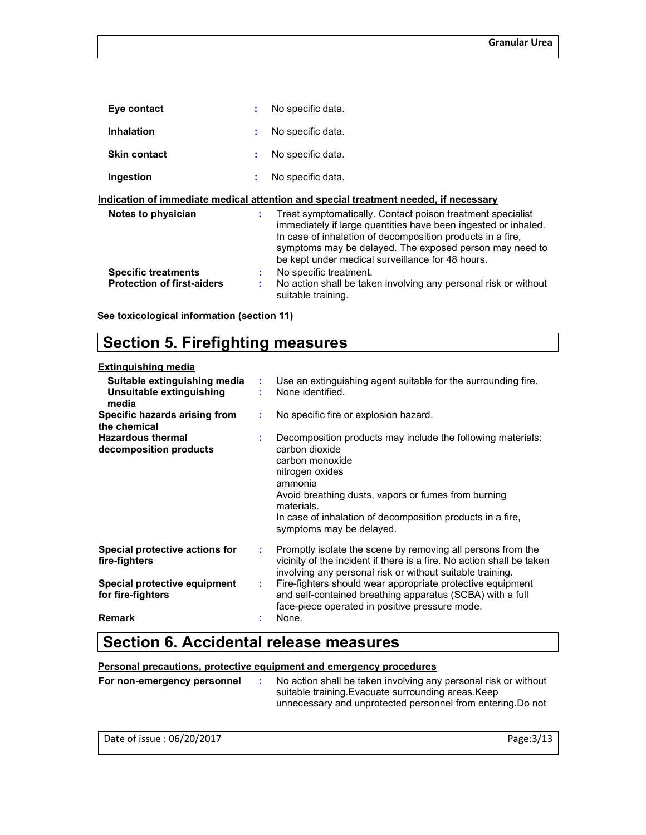| Eye contact         |    | No specific data.                                                                                                                                                                                                                                     |
|---------------------|----|-------------------------------------------------------------------------------------------------------------------------------------------------------------------------------------------------------------------------------------------------------|
| <b>Inhalation</b>   | ÷  | No specific data.                                                                                                                                                                                                                                     |
| <b>Skin contact</b> |    | No specific data.                                                                                                                                                                                                                                     |
| Ingestion           | ÷. | No specific data.                                                                                                                                                                                                                                     |
|                     |    | Indication of immediate medical attention and special treatment needed, if necessary                                                                                                                                                                  |
| Notes to physician  | ÷  | Treat symptomatically. Contact poison treatment specialist<br>immediately if large quantities have been ingested or inhaled.<br>In case of inhalation of decomposition products in a fire,<br>symptoms may be delayed. The exposed person may need to |

|                                                                 | be kept under medical surveillance for 48 hours.                                                                |
|-----------------------------------------------------------------|-----------------------------------------------------------------------------------------------------------------|
| <b>Specific treatments</b><br><b>Protection of first-aiders</b> | No specific treatment.<br>No action shall be taken involving any personal risk or without<br>suitable training. |

See toxicological information (section 11)

# Section 5. Firefighting measures

### Extinguishing media

| Suitable extinguishing media<br>Unsuitable extinguishing<br>media | ÷  | Use an extinguishing agent suitable for the surrounding fire.<br>None identified.                                                                                                                                                                                                             |
|-------------------------------------------------------------------|----|-----------------------------------------------------------------------------------------------------------------------------------------------------------------------------------------------------------------------------------------------------------------------------------------------|
| Specific hazards arising from<br>the chemical                     | ÷  | No specific fire or explosion hazard.                                                                                                                                                                                                                                                         |
| <b>Hazardous thermal</b><br>decomposition products                |    | Decomposition products may include the following materials:<br>carbon dioxide<br>carbon monoxide<br>nitrogen oxides<br>ammonia<br>Avoid breathing dusts, vapors or fumes from burning<br>materials.<br>In case of inhalation of decomposition products in a fire,<br>symptoms may be delayed. |
| Special protective actions for<br>fire-fighters                   | ÷. | Promptly isolate the scene by removing all persons from the<br>vicinity of the incident if there is a fire. No action shall be taken<br>involving any personal risk or without suitable training.                                                                                             |
| Special protective equipment<br>for fire-fighters                 | ÷. | Fire-fighters should wear appropriate protective equipment<br>and self-contained breathing apparatus (SCBA) with a full<br>face-piece operated in positive pressure mode.                                                                                                                     |
| <b>Remark</b>                                                     |    | None.                                                                                                                                                                                                                                                                                         |

# Section 6. Accidental release measures

# Personal precautions, protective equipment and emergency procedures

| For non-emergency personnel | No action shall be taken involving any personal risk or without<br>suitable training. Evacuate surrounding areas. Keep |
|-----------------------------|------------------------------------------------------------------------------------------------------------------------|
|                             | unnecessary and unprotected personnel from entering. Do not                                                            |

| Date of issue: 06/20/2017 | Page: 3/13 |
|---------------------------|------------|
|---------------------------|------------|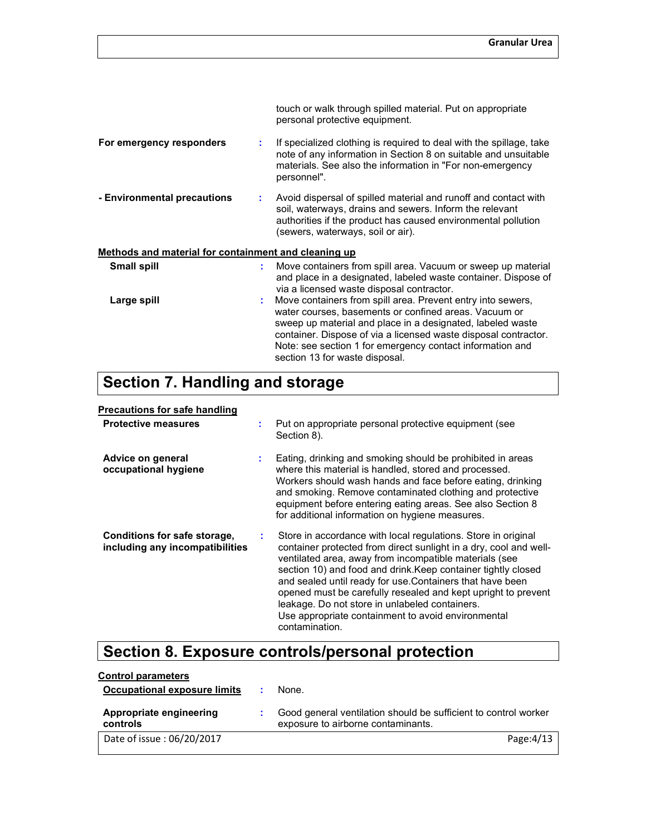|                                                      |    | touch or walk through spilled material. Put on appropriate<br>personal protective equipment.                                                                                                                                                                                                                                                         |
|------------------------------------------------------|----|------------------------------------------------------------------------------------------------------------------------------------------------------------------------------------------------------------------------------------------------------------------------------------------------------------------------------------------------------|
| For emergency responders                             |    | If specialized clothing is required to deal with the spillage, take<br>note of any information in Section 8 on suitable and unsuitable<br>materials. See also the information in "For non-emergency<br>personnel".                                                                                                                                   |
| - Environmental precautions                          |    | Avoid dispersal of spilled material and runoff and contact with<br>soil, waterways, drains and sewers. Inform the relevant<br>authorities if the product has caused environmental pollution<br>(sewers, waterways, soil or air).                                                                                                                     |
| Methods and material for containment and cleaning up |    |                                                                                                                                                                                                                                                                                                                                                      |
| <b>Small spill</b>                                   | ÷. | Move containers from spill area. Vacuum or sweep up material<br>and place in a designated, labeled waste container. Dispose of<br>via a licensed waste disposal contractor.                                                                                                                                                                          |
| Large spill                                          |    | Move containers from spill area. Prevent entry into sewers,<br>water courses, basements or confined areas. Vacuum or<br>sweep up material and place in a designated, labeled waste<br>container. Dispose of via a licensed waste disposal contractor.<br>Note: see section 1 for emergency contact information and<br>section 13 for waste disposal. |

# Section 7. Handling and storage

#### Precautions for safe handling

| <b>Protective measures</b>                                      |   | Put on appropriate personal protective equipment (see<br>Section 8).                                                                                                                                                                                                                                                                                                                                                                                                                                                  |
|-----------------------------------------------------------------|---|-----------------------------------------------------------------------------------------------------------------------------------------------------------------------------------------------------------------------------------------------------------------------------------------------------------------------------------------------------------------------------------------------------------------------------------------------------------------------------------------------------------------------|
| Advice on general<br>occupational hygiene                       |   | Eating, drinking and smoking should be prohibited in areas<br>where this material is handled, stored and processed.<br>Workers should wash hands and face before eating, drinking<br>and smoking. Remove contaminated clothing and protective<br>equipment before entering eating areas. See also Section 8<br>for additional information on hygiene measures.                                                                                                                                                        |
| Conditions for safe storage,<br>including any incompatibilities | ÷ | Store in accordance with local regulations. Store in original<br>container protected from direct sunlight in a dry, cool and well-<br>ventilated area, away from incompatible materials (see<br>section 10) and food and drink. Keep container tightly closed<br>and sealed until ready for use. Containers that have been<br>opened must be carefully resealed and kept upright to prevent<br>leakage. Do not store in unlabeled containers.<br>Use appropriate containment to avoid environmental<br>contamination. |

# Section 8. Exposure controls/personal protection

| <b>Control parameters</b>           |                                                                                                       |
|-------------------------------------|-------------------------------------------------------------------------------------------------------|
| Occupational exposure limits        | None.                                                                                                 |
| Appropriate engineering<br>controls | Good general ventilation should be sufficient to control worker<br>exposure to airborne contaminants. |
| Date of issue: 06/20/2017           | Page: $4/13$                                                                                          |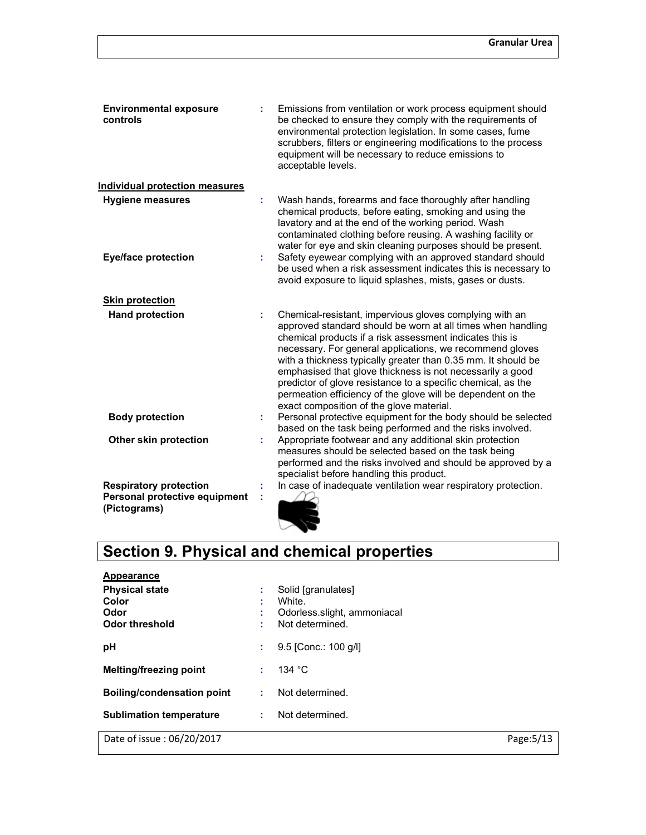| <b>Environmental exposure</b><br>controls                                      |    | Emissions from ventilation or work process equipment should<br>be checked to ensure they comply with the requirements of<br>environmental protection legislation. In some cases, fume<br>scrubbers, filters or engineering modifications to the process<br>equipment will be necessary to reduce emissions to<br>acceptable levels.                                                                                                                                                                                                                     |
|--------------------------------------------------------------------------------|----|---------------------------------------------------------------------------------------------------------------------------------------------------------------------------------------------------------------------------------------------------------------------------------------------------------------------------------------------------------------------------------------------------------------------------------------------------------------------------------------------------------------------------------------------------------|
| <b>Individual protection measures</b>                                          |    |                                                                                                                                                                                                                                                                                                                                                                                                                                                                                                                                                         |
| <b>Hygiene measures</b>                                                        | ÷  | Wash hands, forearms and face thoroughly after handling<br>chemical products, before eating, smoking and using the<br>lavatory and at the end of the working period. Wash<br>contaminated clothing before reusing. A washing facility or<br>water for eye and skin cleaning purposes should be present.                                                                                                                                                                                                                                                 |
| <b>Eye/face protection</b>                                                     |    | Safety eyewear complying with an approved standard should<br>be used when a risk assessment indicates this is necessary to<br>avoid exposure to liquid splashes, mists, gases or dusts.                                                                                                                                                                                                                                                                                                                                                                 |
| <b>Skin protection</b>                                                         |    |                                                                                                                                                                                                                                                                                                                                                                                                                                                                                                                                                         |
| <b>Hand protection</b>                                                         | ÷  | Chemical-resistant, impervious gloves complying with an<br>approved standard should be worn at all times when handling<br>chemical products if a risk assessment indicates this is<br>necessary. For general applications, we recommend gloves<br>with a thickness typically greater than 0.35 mm. It should be<br>emphasised that glove thickness is not necessarily a good<br>predictor of glove resistance to a specific chemical, as the<br>permeation efficiency of the glove will be dependent on the<br>exact composition of the glove material. |
| <b>Body protection</b>                                                         | t. | Personal protective equipment for the body should be selected<br>based on the task being performed and the risks involved.                                                                                                                                                                                                                                                                                                                                                                                                                              |
| Other skin protection                                                          | ÷  | Appropriate footwear and any additional skin protection<br>measures should be selected based on the task being<br>performed and the risks involved and should be approved by a<br>specialist before handling this product.                                                                                                                                                                                                                                                                                                                              |
| <b>Respiratory protection</b><br>Personal protective equipment<br>(Pictograms) |    | In case of inadequate ventilation wear respiratory protection.                                                                                                                                                                                                                                                                                                                                                                                                                                                                                          |

# Section 9. Physical and chemical properties

| Appearance                                               |                                                               |                                                                                |            |
|----------------------------------------------------------|---------------------------------------------------------------|--------------------------------------------------------------------------------|------------|
| <b>Physical state</b><br>Color<br>Odor<br>Odor threshold | ÷<br>$\blacksquare$<br>$\blacksquare$<br>×.<br>$\blacksquare$ | Solid [granulates]<br>White.<br>Odorless.slight, ammoniacal<br>Not determined. |            |
| рH                                                       | ÷                                                             | 9.5 [Conc.: 100 g/l]                                                           |            |
| <b>Melting/freezing point</b>                            | ÷                                                             | 134 °C                                                                         |            |
| <b>Boiling/condensation point</b>                        | ÷                                                             | Not determined.                                                                |            |
| <b>Sublimation temperature</b>                           | ÷                                                             | Not determined.                                                                |            |
| Date of issue: 06/20/2017                                |                                                               |                                                                                | Page: 5/13 |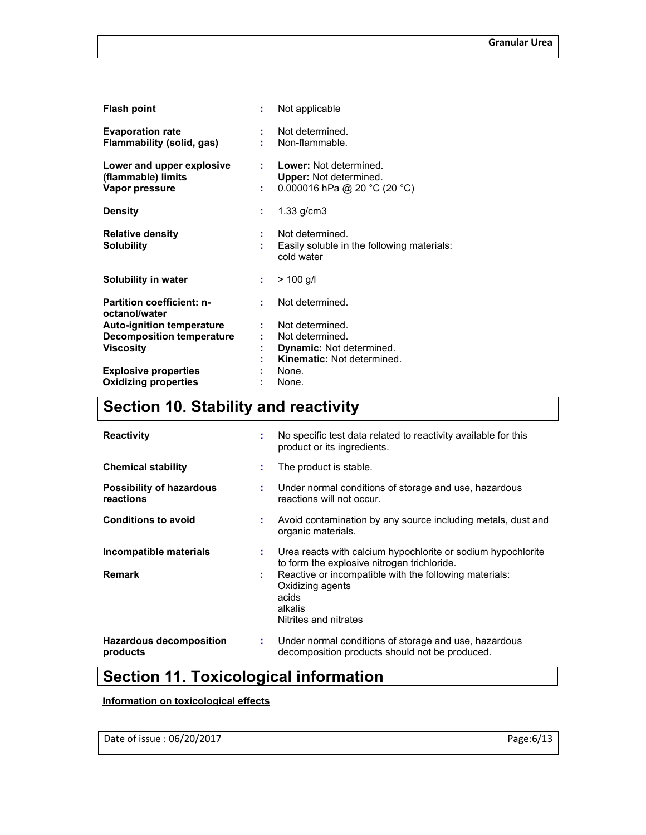| <b>Flash point</b>                                                | ÷         | Not applicable                                                                          |
|-------------------------------------------------------------------|-----------|-----------------------------------------------------------------------------------------|
| <b>Evaporation rate</b><br>Flammability (solid, gas)              | t in      | Not determined.<br>Non-flammable.                                                       |
| Lower and upper explosive<br>(flammable) limits<br>Vapor pressure | t i<br>÷. | Lower: Not determined.<br><b>Upper:</b> Not determined.<br>0.000016 hPa @ 20 °C (20 °C) |
| <b>Density</b>                                                    | ÷         | $1.33$ g/cm $3$                                                                         |
| <b>Relative density</b><br><b>Solubility</b>                      | t.<br>t   | Not determined.<br>Easily soluble in the following materials:<br>cold water             |
| Solubility in water                                               | ÷.        | $> 100$ g/l                                                                             |
| <b>Partition coefficient: n-</b><br>octanol/water                 | ÷.        | Not determined.                                                                         |
| <b>Auto-ignition temperature</b>                                  | ÷         | Not determined.                                                                         |
| <b>Decomposition temperature</b>                                  |           | Not determined.                                                                         |
| <b>Viscosity</b>                                                  |           | <b>Dynamic: Not determined.</b>                                                         |
|                                                                   |           | <b>Kinematic:</b> Not determined.                                                       |
| <b>Explosive properties</b>                                       |           | None.                                                                                   |
| <b>Oxidizing properties</b>                                       |           | None.                                                                                   |

# Section 10. Stability and reactivity

| <b>Reactivity</b>                            | ÷       | No specific test data related to reactivity available for this<br>product or its ingredients.                                                                                                                                          |
|----------------------------------------------|---------|----------------------------------------------------------------------------------------------------------------------------------------------------------------------------------------------------------------------------------------|
| <b>Chemical stability</b>                    | ÷.      | The product is stable.                                                                                                                                                                                                                 |
| <b>Possibility of hazardous</b><br>reactions | ÷.      | Under normal conditions of storage and use, hazardous<br>reactions will not occur.                                                                                                                                                     |
| <b>Conditions to avoid</b>                   | ÷       | Avoid contamination by any source including metals, dust and<br>organic materials.                                                                                                                                                     |
| Incompatible materials<br><b>Remark</b>      | ÷.<br>÷ | Urea reacts with calcium hypochlorite or sodium hypochlorite<br>to form the explosive nitrogen trichloride.<br>Reactive or incompatible with the following materials:<br>Oxidizing agents<br>acids<br>alkalis<br>Nitrites and nitrates |
| Hazardous decomposition<br>products          | ÷.      | Under normal conditions of storage and use, hazardous<br>decomposition products should not be produced.                                                                                                                                |

# Section 11. Toxicological information

# Information on toxicological effects

Date of issue : 06/20/2017 Page:6/13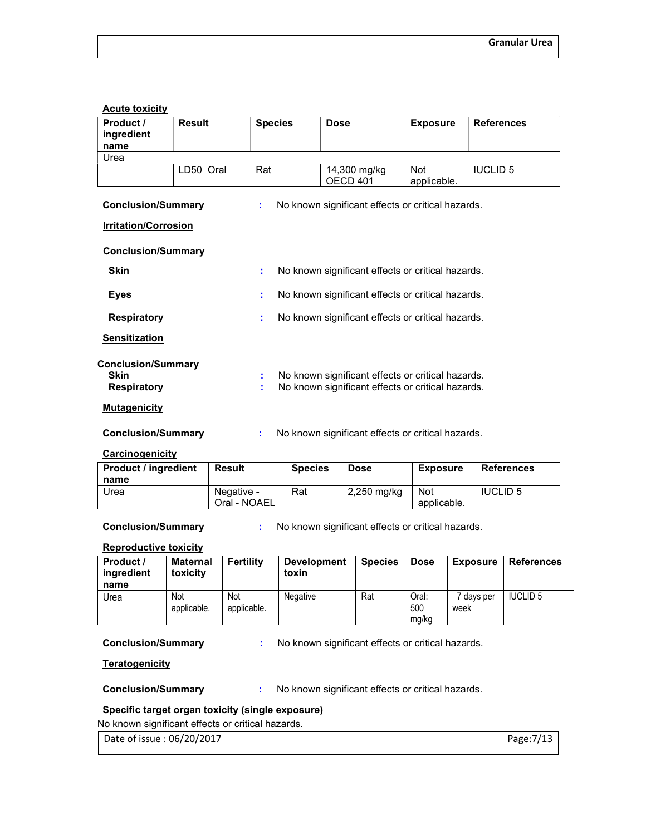#### Acute toxicity

| Product /<br>ingredient<br>name                                | <b>Result</b> | <b>Species</b> | <b>Dose</b>                                                                                            | <b>Exposure</b>           | <b>References</b> |  |
|----------------------------------------------------------------|---------------|----------------|--------------------------------------------------------------------------------------------------------|---------------------------|-------------------|--|
| Urea                                                           |               |                |                                                                                                        |                           |                   |  |
|                                                                | LD50 Oral     | Rat            | 14,300 mg/kg<br>OECD <sub>401</sub>                                                                    | <b>Not</b><br>applicable. | <b>IUCLID 5</b>   |  |
| <b>Conclusion/Summary</b>                                      |               | ÷.             | No known significant effects or critical hazards.                                                      |                           |                   |  |
| <b>Irritation/Corrosion</b>                                    |               |                |                                                                                                        |                           |                   |  |
| <b>Conclusion/Summary</b>                                      |               |                |                                                                                                        |                           |                   |  |
| <b>Skin</b>                                                    |               | ÷.             | No known significant effects or critical hazards.                                                      |                           |                   |  |
| <b>Eyes</b>                                                    |               | ÷.             | No known significant effects or critical hazards.                                                      |                           |                   |  |
| <b>Respiratory</b>                                             |               | ÷.             | No known significant effects or critical hazards.                                                      |                           |                   |  |
| <b>Sensitization</b>                                           |               |                |                                                                                                        |                           |                   |  |
| <b>Conclusion/Summary</b><br><b>Skin</b><br><b>Respiratory</b> |               | ÷              | No known significant effects or critical hazards.<br>No known significant effects or critical hazards. |                           |                   |  |
| <b>Mutagenicity</b>                                            |               |                |                                                                                                        |                           |                   |  |
| <b>Conclusion/Summary</b>                                      |               |                | No known significant effects or critical hazards.                                                      |                           |                   |  |
| Carcinogenicity                                                |               |                |                                                                                                        |                           |                   |  |

| <b>Product / ingredient</b><br>name | Result                     | <b>Species</b> | <b>Dose</b> | Exposure                  | <b>References</b> |
|-------------------------------------|----------------------------|----------------|-------------|---------------------------|-------------------|
| Urea                                | Negative -<br>Oral - NOAEL | Rat            | 2,250 mg/kg | <b>Not</b><br>applicable. | <b>IUCLID 5</b>   |

Conclusion/Summary : No known significant effects or critical hazards.

### Reproductive toxicity

| Product /<br>ingredient<br>name | <b>Maternal</b><br>toxicity | Fertility          | <b>Development</b><br>toxin | <b>Species</b> | <b>Dose</b>           | <b>Exposure</b>  | <b>References</b> |
|---------------------------------|-----------------------------|--------------------|-----------------------------|----------------|-----------------------|------------------|-------------------|
| Urea                            | Not<br>applicable.          | Not<br>applicable. | <b>Negative</b>             | Rat            | Oral:<br>500<br>mg/kg | davs per<br>week | <b>IUCLID 5</b>   |

Conclusion/Summary : No known significant effects or critical hazards.

### **Teratogenicity**

Conclusion/Summary : No known significant effects or critical hazards.

# Specific target organ toxicity (single exposure)

No known significant effects or critical hazards.

Date of issue : 06/20/2017 Page:7/13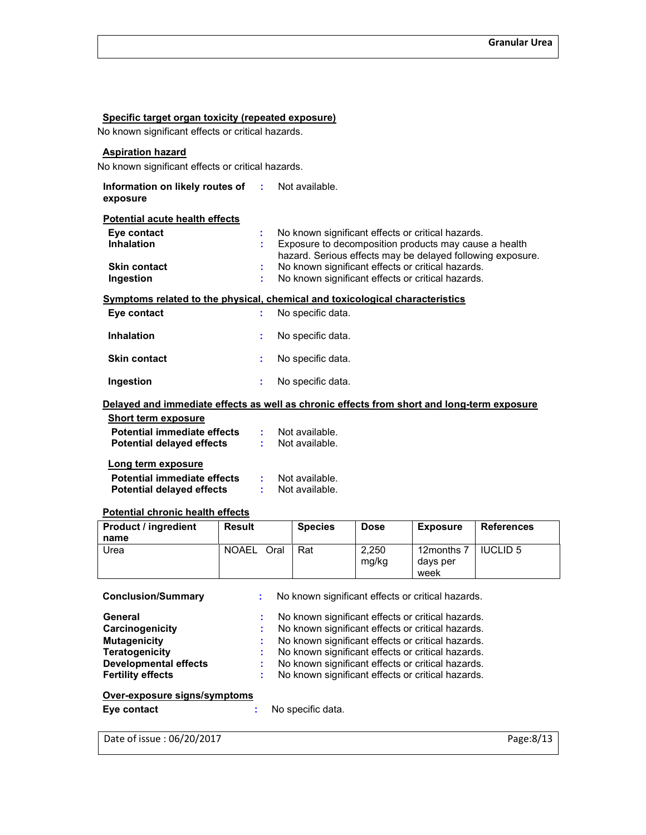#### Specific target organ toxicity (repeated exposure)

No known significant effects or critical hazards.

# Aspiration hazard

No known significant effects or critical hazards.

| Information on likely routes of : Not available.<br>exposure    |      |                                                                                                                                                                          |
|-----------------------------------------------------------------|------|--------------------------------------------------------------------------------------------------------------------------------------------------------------------------|
| <b>Potential acute health effects</b>                           |      |                                                                                                                                                                          |
| Eye contact<br><b>Inhalation</b>                                |      | No known significant effects or critical hazards.<br>Exposure to decomposition products may cause a health<br>hazard. Serious effects may be delayed following exposure. |
| <b>Skin contact</b><br>Ingestion                                |      | No known significant effects or critical hazards.<br>No known significant effects or critical hazards.                                                                   |
|                                                                 |      | Symptoms related to the physical, chemical and toxicological characteristics                                                                                             |
| Eye contact                                                     |      | No specific data.                                                                                                                                                        |
| <b>Inhalation</b>                                               | ÷.   | No specific data.                                                                                                                                                        |
| <b>Skin contact</b>                                             |      | No specific data.                                                                                                                                                        |
| Ingestion                                                       |      | No specific data.                                                                                                                                                        |
|                                                                 |      | Delayed and immediate effects as well as chronic effects from short and long-term exposure                                                                               |
| <b>Short term exposure</b>                                      |      |                                                                                                                                                                          |
| Potential immediate effects<br><b>Potential delayed effects</b> | t in | : Not available.<br>Not available.                                                                                                                                       |
| Long term exposure                                              |      |                                                                                                                                                                          |

| LUIIY ICHII CANUSUIC               |                |
|------------------------------------|----------------|
| <b>Potential immediate effects</b> | Not available. |
| <b>Potential delayed effects</b>   | Not available. |

### Potential chronic health effects

| <b>Product / ingredient</b><br>name | <b>Result</b>        | <b>Species</b> | <b>Dose</b>    | <b>Exposure</b>                | <b>References</b> |
|-------------------------------------|----------------------|----------------|----------------|--------------------------------|-------------------|
| Urea                                | <b>NOAEL</b><br>Oral | Rat            | 2.250<br>mg/kg | 12months 7<br>days per<br>week | <b>IUCLID 5</b>   |

| <b>Conclusion/Summary</b>    | No known significant effects or critical hazards.                                                      |
|------------------------------|--------------------------------------------------------------------------------------------------------|
| General<br>Carcinogenicity   | No known significant effects or critical hazards.<br>No known significant effects or critical hazards. |
| <b>Mutagenicity</b>          | : No known significant effects or critical hazards.                                                    |
| <b>Teratogenicity</b>        | No known significant effects or critical hazards.                                                      |
| <b>Developmental effects</b> | : No known significant effects or critical hazards.                                                    |
| <b>Fertility effects</b>     | : No known significant effects or critical hazards.                                                    |

### Over-exposure signs/symptoms

Eye contact : No specific data.

Date of issue : 06/20/2017 Page:8/13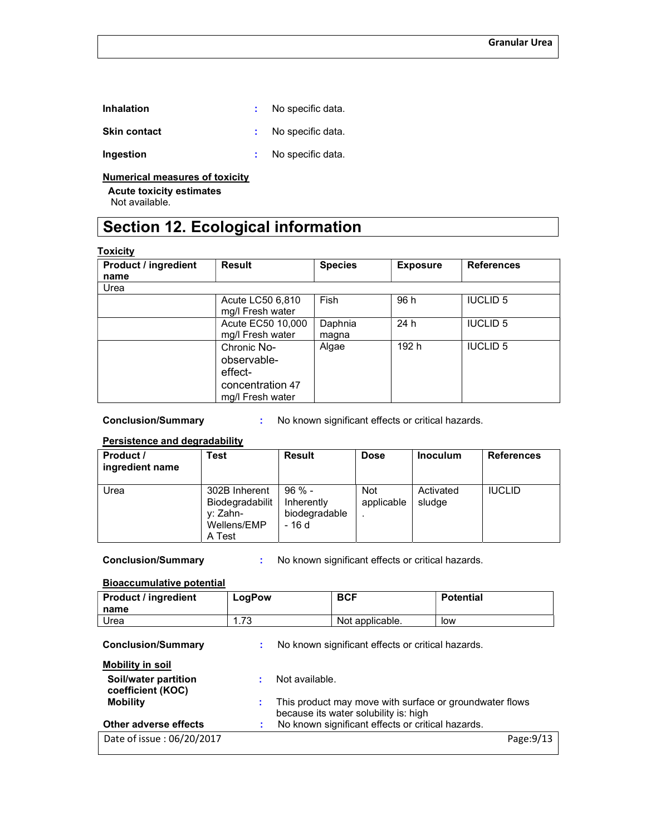| <b>Inhalation</b>   | No specific data. |
|---------------------|-------------------|
| <b>Skin contact</b> | No specific data. |
| Ingestion           | No specific data. |

Numerical measures of toxicity

Acute toxicity estimates

Not available.

# Section 12. Ecological information

#### **Toxicity**

| $. •$                               |                                                                               |                  |                 |                   |
|-------------------------------------|-------------------------------------------------------------------------------|------------------|-----------------|-------------------|
| <b>Product / ingredient</b><br>name | <b>Result</b>                                                                 | <b>Species</b>   | <b>Exposure</b> | <b>References</b> |
|                                     |                                                                               |                  |                 |                   |
| Urea                                |                                                                               |                  |                 |                   |
|                                     | Acute LC50 6,810<br>mg/l Fresh water                                          | Fish             | 96 h            | <b>IUCLID 5</b>   |
|                                     | Acute EC50 10,000<br>mg/l Fresh water                                         | Daphnia<br>magna | 24 h            | <b>IUCLID 5</b>   |
|                                     | Chronic No-<br>observable-<br>effect-<br>concentration 47<br>mg/l Fresh water | Algae            | 192 h           | <b>IUCLID 5</b>   |

Conclusion/Summary : No known significant effects or critical hazards.

# Persistence and degradability

| Product /<br>ingredient name | Test                                                                  | <b>Result</b>                                      | <b>Dose</b>              | <b>Inoculum</b>     | <b>References</b> |
|------------------------------|-----------------------------------------------------------------------|----------------------------------------------------|--------------------------|---------------------|-------------------|
| Urea                         | 302B Inherent<br>Biodegradabilit<br>v: Zahn-<br>Wellens/EMP<br>A Test | $96 \% -$<br>Inherently<br>biodegradable<br>- 16 d | <b>Not</b><br>applicable | Activated<br>sludge | <b>IUCLID</b>     |

Conclusion/Summary : No known significant effects or critical hazards.

#### Bioaccumulative potential

| <b>Product / ingredient</b><br>name       | LogPow |                                                                                                  | <b>BCF</b>                                        | <b>Potential</b> |
|-------------------------------------------|--------|--------------------------------------------------------------------------------------------------|---------------------------------------------------|------------------|
| Urea                                      | 1.73   |                                                                                                  | Not applicable.                                   | low              |
| <b>Conclusion/Summary</b>                 | ÷      |                                                                                                  | No known significant effects or critical hazards. |                  |
| <b>Mobility in soil</b>                   |        |                                                                                                  |                                                   |                  |
| Soil/water partition<br>coefficient (KOC) |        | Not available.                                                                                   |                                                   |                  |
| <b>Mobility</b>                           | ÷      | This product may move with surface or groundwater flows<br>because its water solubility is: high |                                                   |                  |
| Other adverse effects                     | ÷.     |                                                                                                  | No known significant effects or critical hazards. |                  |
| Date of issue: 06/20/2017                 |        |                                                                                                  |                                                   | Page: $9/13$     |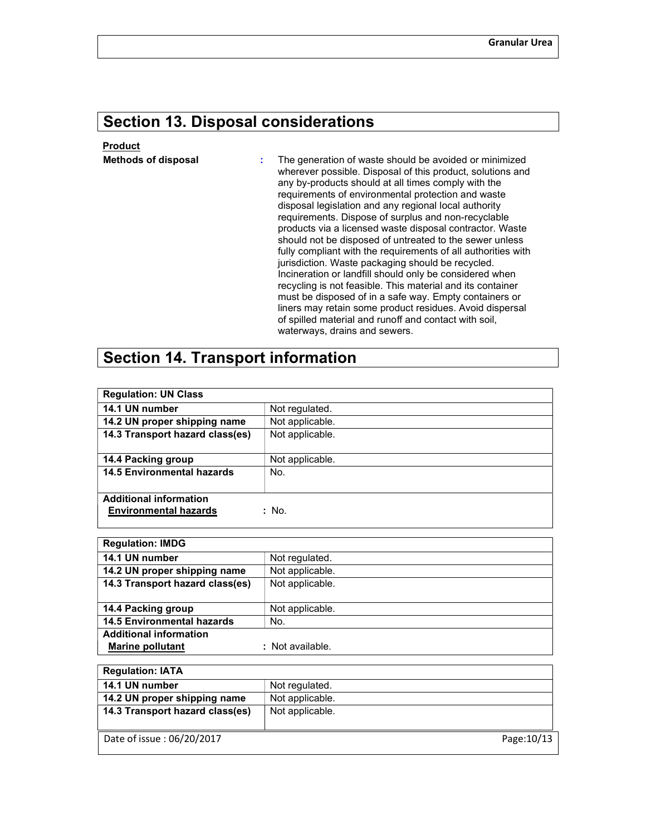# Section 13. Disposal considerations

# Product

**Methods of disposal : The generation of waste should be avoided or minimized** wherever possible. Disposal of this product, solutions and any by-products should at all times comply with the requirements of environmental protection and waste disposal legislation and any regional local authority requirements. Dispose of surplus and non-recyclable products via a licensed waste disposal contractor. Waste should not be disposed of untreated to the sewer unless fully compliant with the requirements of all authorities with jurisdiction. Waste packaging should be recycled. Incineration or landfill should only be considered when recycling is not feasible. This material and its container must be disposed of in a safe way. Empty containers or liners may retain some product residues. Avoid dispersal of spilled material and runoff and contact with soil, waterways, drains and sewers.

# Section 14. Transport information

| <b>Regulation: UN Class</b>                                   |                 |
|---------------------------------------------------------------|-----------------|
| 14.1 UN number                                                | Not regulated.  |
| 14.2 UN proper shipping name                                  | Not applicable. |
| 14.3 Transport hazard class(es)                               | Not applicable. |
|                                                               |                 |
| 14.4 Packing group                                            | Not applicable. |
| <b>14.5 Environmental hazards</b>                             | No.             |
|                                                               |                 |
| <b>Additional information</b><br><b>Environmental hazards</b> | : No.           |

| <b>Regulation: IMDG</b>           |                  |
|-----------------------------------|------------------|
| 14.1 UN number                    | Not regulated.   |
| 14.2 UN proper shipping name      | Not applicable.  |
| 14.3 Transport hazard class(es)   | Not applicable.  |
|                                   |                  |
| 14.4 Packing group                | Not applicable.  |
| <b>14.5 Environmental hazards</b> | No.              |
| <b>Additional information</b>     |                  |
| <b>Marine pollutant</b>           | : Not available. |

| <b>Regulation: IATA</b>         |                 |
|---------------------------------|-----------------|
| 14.1 UN number                  | Not regulated.  |
| 14.2 UN proper shipping name    | Not applicable. |
| 14.3 Transport hazard class(es) | Not applicable. |
|                                 |                 |
| Date of issue: 06/20/2017       | Page: 10/13     |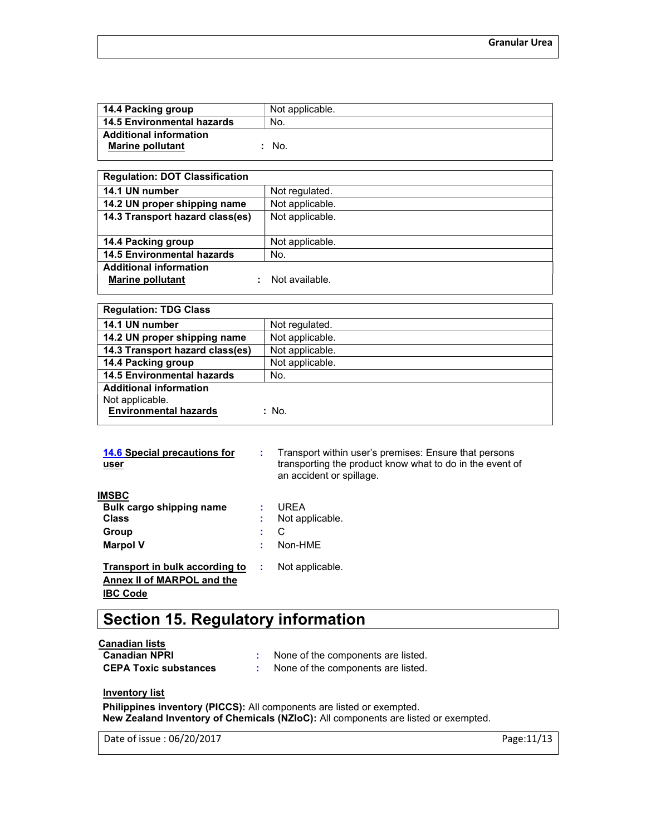| 14.4 Packing group            | Not applicable. |
|-------------------------------|-----------------|
| 14.5 Environmental hazards    | No.             |
| <b>Additional information</b> |                 |
| <b>Marine pollutant</b>       | No.             |

| <b>Regulation: DOT Classification</b> |                 |
|---------------------------------------|-----------------|
| 14.1 UN number                        | Not regulated.  |
| 14.2 UN proper shipping name          | Not applicable. |
| 14.3 Transport hazard class(es)       | Not applicable. |
|                                       |                 |
| 14.4 Packing group                    | Not applicable. |
| <b>14.5 Environmental hazards</b>     | No.             |
| <b>Additional information</b>         |                 |
| <b>Marine pollutant</b>               | Not available.  |
|                                       |                 |

| <b>Regulation: TDG Class</b>      |                 |
|-----------------------------------|-----------------|
| 14.1 UN number                    | Not regulated.  |
| 14.2 UN proper shipping name      | Not applicable. |
| 14.3 Transport hazard class(es)   | Not applicable. |
| 14.4 Packing group                | Not applicable. |
| <b>14.5 Environmental hazards</b> | No.             |
| <b>Additional information</b>     |                 |
| Not applicable.                   |                 |
| <b>Environmental hazards</b>      | : No.           |

| 14.6 Special precautions for<br>user | ÷ | Transport within user's premises: Ensure that persons<br>transporting the product know what to do in the event of<br>an accident or spillage. |
|--------------------------------------|---|-----------------------------------------------------------------------------------------------------------------------------------------------|
| <b>IMSBC</b>                         |   |                                                                                                                                               |
| Bulk cargo shipping name             |   | URFA                                                                                                                                          |
| <b>Class</b>                         |   | Not applicable.                                                                                                                               |
| Group                                | ÷ | С                                                                                                                                             |
| <b>Marpol V</b>                      | ÷ | Non-HMF                                                                                                                                       |
| Transport in bulk according to       | ÷ | Not applicable.                                                                                                                               |
| Annex II of MARPOL and the           |   |                                                                                                                                               |
| <b>IBC Code</b>                      |   |                                                                                                                                               |

# Section 15. Regulatory information

Canadian lists

| <b>Canadian NPRI</b>         | None of the components are listed. |
|------------------------------|------------------------------------|
| <b>CEPA Toxic substances</b> | None of the components are listed. |

# **Inventory list**

Philippines inventory (PICCS): All components are listed or exempted. New Zealand Inventory of Chemicals (NZIoC): All components are listed or exempted.

Date of issue : 06/20/2017 Page:11/13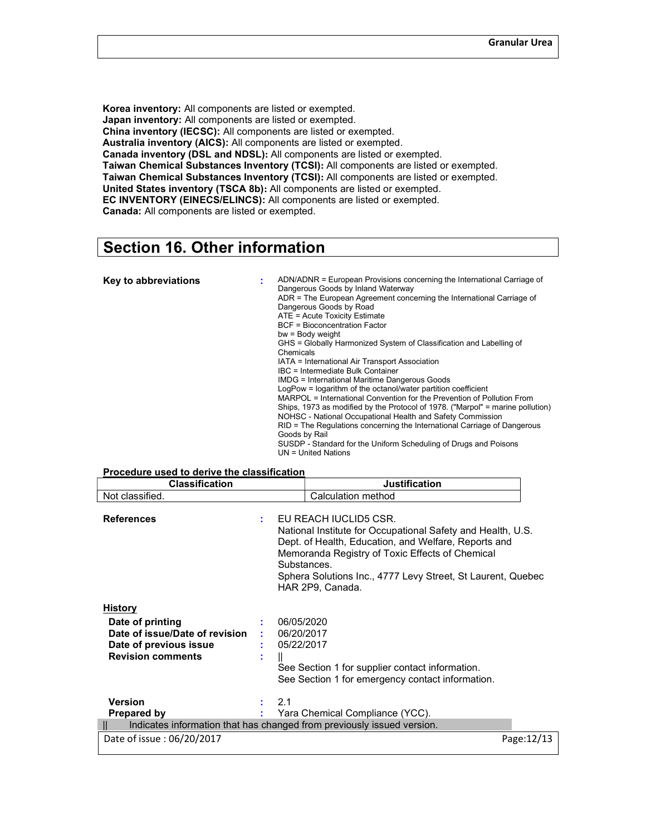Korea inventory: All components are listed or exempted. Japan inventory: All components are listed or exempted. China inventory (IECSC): All components are listed or exempted. Australia inventory (AICS): All components are listed or exempted. Canada inventory (DSL and NDSL): All components are listed or exempted. Taiwan Chemical Substances Inventory (TCSI): All components are listed or exempted. Taiwan Chemical Substances Inventory (TCSI): All components are listed or exempted. United States inventory (TSCA 8b): All components are listed or exempted. EC INVENTORY (EINECS/ELINCS): All components are listed or exempted. Canada: All components are listed or exempted.

# Section 16. Other information

| Key to abbreviations | ADN/ADNR = European Provisions concerning the International Carriage of<br>Dangerous Goods by Inland Waterway<br>ADR = The European Agreement concerning the International Carriage of<br>Dangerous Goods by Road<br>ATE = Acute Toxicity Estimate<br><b>BCF</b> = Bioconcentration Factor<br>$bw = Body weight$<br>GHS = Globally Harmonized System of Classification and Labelling of<br>Chemicals<br>IATA = International Air Transport Association<br>IBC = Intermediate Bulk Container<br><b>IMDG</b> = International Maritime Dangerous Goods<br>LogPow = logarithm of the octanol/water partition coefficient<br>MARPOL = International Convention for the Prevention of Pollution From<br>Ships, 1973 as modified by the Protocol of 1978. ("Marpol" = marine pollution)<br>NOHSC - National Occupational Health and Safety Commission<br>RID = The Regulations concerning the International Carriage of Dangerous<br>Goods by Rail |
|----------------------|---------------------------------------------------------------------------------------------------------------------------------------------------------------------------------------------------------------------------------------------------------------------------------------------------------------------------------------------------------------------------------------------------------------------------------------------------------------------------------------------------------------------------------------------------------------------------------------------------------------------------------------------------------------------------------------------------------------------------------------------------------------------------------------------------------------------------------------------------------------------------------------------------------------------------------------------|
|                      | SUSDP - Standard for the Uniform Scheduling of Drugs and Poisons<br>UN = United Nations                                                                                                                                                                                                                                                                                                                                                                                                                                                                                                                                                                                                                                                                                                                                                                                                                                                     |

#### Procedure used to derive the classification Classification Justification

| VIAJJIIIUALIVII                                                                                                            |                                          | vusunvauvn                                                                                                                                                                                                                                                                         |            |
|----------------------------------------------------------------------------------------------------------------------------|------------------------------------------|------------------------------------------------------------------------------------------------------------------------------------------------------------------------------------------------------------------------------------------------------------------------------------|------------|
| Not classified.                                                                                                            |                                          | Calculation method                                                                                                                                                                                                                                                                 |            |
| <b>References</b>                                                                                                          | ÷.<br>Substances.                        | EU REACH IUCLID5 CSR.<br>National Institute for Occupational Safety and Health, U.S.<br>Dept. of Health, Education, and Welfare, Reports and<br>Memoranda Registry of Toxic Effects of Chemical<br>Sphera Solutions Inc., 4777 Levy Street, St Laurent, Quebec<br>HAR 2P9, Canada. |            |
| <b>History</b><br>Date of printing<br>Date of issue/Date of revision<br>Date of previous issue<br><b>Revision comments</b> | 06/05/2020<br>06/20/2017<br>: 05/22/2017 | See Section 1 for supplier contact information.<br>See Section 1 for emergency contact information.                                                                                                                                                                                |            |
| <b>Version</b><br><b>Prepared by</b>                                                                                       | 2.1                                      | Yara Chemical Compliance (YCC).<br>Indicates information that has changed from previously issued version.                                                                                                                                                                          |            |
|                                                                                                                            |                                          |                                                                                                                                                                                                                                                                                    |            |
| Date of issue: 06/20/2017                                                                                                  |                                          |                                                                                                                                                                                                                                                                                    | Page:12/13 |